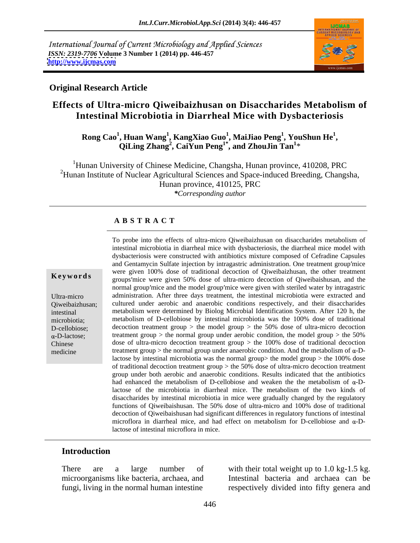International Journal of Current Microbiology and Applied Sciences *ISSN: 2319-7706* **Volume 3 Number 1 (2014) pp. 446-457 <http://www.ijcmas.com>**



#### **Original Research Article**

# **Effects of Ultra-micro Qiweibaizhusan on Disaccharides Metabolism of Intestinal Microbiotia in Diarrheal Mice with Dysbacteriosis**

Rong Cao<sup>1</sup>, Huan Wang<sup>1</sup>, KangXiao Guo<sup>1</sup>, MaiJiao Peng<sup>1</sup>, YouShun He<sup>1</sup>,<br>QiLing Zhang<sup>2</sup>, CaiYun Peng<sup>1\*</sup>, and ZhouJin Tan<sup>1</sup>\* **, YouShun He<sup>1</sup>** QiLing Zhang<sup>2</sup>, CaiYun Peng<sup>1\*</sup>, and ZhouJin Tan<sup>1\*</sup> **, and ZhouJin Tan<sup>1</sup>**  $*$  and  $*$  and  $*$  and  $*$  and  $*$  and  $*$  and  $*$  and  $*$  and  $*$  and  $*$  and  $*$  and  $*$  and  $*$  and  $*$  and  $*$  and  $*$  and  $*$  and  $*$  and  $*$  and  $*$  and  $*$  and  $*$  and  $*$  and  $*$  and  $*$  and  $*$  and  $*$  and  $*$  a

<sup>1</sup>Hunan University of Chinese Medicine, Changsha, Hunan province, 410208, PRC <sup>2</sup>Hunan Institute of Nuclear Agricultural Sciences and Space-induced Breeding, Changsha, Hunan province, 410125, PRC *\*Corresponding author*

### **A B S T R A C T**

**Keywords** were given 100% dose of daditional decoction of Qiweibaizhusan, and the groups mice were given 50% dose of ultra-micro decoction of Qiweibaishusan, and the Ultra-micro administration. After three days treatment, the intestinal microbiotia were extracted and Qiweibaizhusan; cultured under aerobic and anaerobic conditionsrespectively, and their disaccharides intestinal metabolism were determined by Biolog Microbial Identification System. After 120 h, the microbiotia; metabolism of D-cellobiose by intestinal microbiotia was the 100% dose of traditional D-cellobiose; decoction treatment group > the model group > the 50% dose of ultra-micro decoction treatment group > the normal group under aerobic condition, the model group > the 50% Chinese dose of ultra-micro decoction treatment group > the 100% dose of traditional decoction medicine treatment group > the normal group under anaerobic condition. And the metabolism of  $\alpha$ -D-To probe into the effects of ultra-micro Qiweibaizhusan on disaccharides metabolism of intestinal microbiotia in diarrheal mice with dysbacteriosis, the diarrheal mice model with dysbacteriosis were constructed with antibiotics mixture composed of Cefradine Capsules and Gentamycin Sulfate injection by intragastric administration. One treatment group mice were given 100% dose of traditional decoction of Qiweibaizhusan, the other treatment normal group mice and the model group mice were given with steriled water by intragastric decoction treatment group  $>$  the model group  $>$  the 50% dose of ultra-micro decoction lactose by intestinal microbiotia was the normal group> the model group > the 100% dose of traditional decoction treatment group > the 50% dose of ultra-micro decoction treatment group under both aerobic and anaerobic conditions. Results indicated that the antibiotics had enhanced the metabolism of D-cellobiose and weaken the the metabolism of  $\alpha$ -Dlactose of the microbiotia in diarrheal mice. The metabolism of the two kinds of disaccharides by intestinal microbiotia in mice were gradually changed by the regulatory functions of Qiweibaishusan. The 50% dose of ultra-micro and 100% dose of traditional decoction of Qiweibaishusan had significant differences in regulatory functions of intestinal microflora in diarrheal mice, and had effect on metabolism for D-cellobiose and  $\alpha$ -Dlactose of intestinal microflora in mice.

#### **Introduction**

microorganisms like bacteria, archaea, and fungi, living in the normal human intestine respectively divided into fifty genera and

There are a large number of with their total weight up to 1.0 kg-1.5 kg. Intestinal bacteria and archaea can be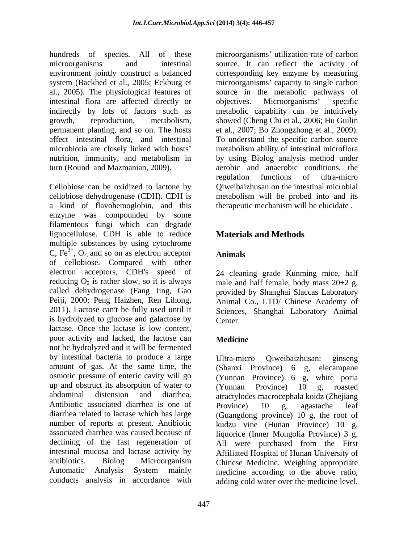intestinal flora are affected directly or objectives. Microorganisms' specific permanent planting, and so on. The hosts et al., 2007; Bo Zhongzhong et al., 2009). affect intestinal flora, and intestinal

Cellobiose can be oxidized to lactone by cellobiose dehydrogenase (CDH). CDH is metabolism will be probed into and its a kind of flavohemoglobin, and this enzyme was compounded by some filamentous fungi which can degrade lignocellulose. CDH is able to reduce multiple substances by using cytochrome C,  $Fe^{3+}$ , O<sub>2</sub>, and so on as electron acceptor **Animals** of cellobiose. Compared with other electron acceptors, CDH's speed of 24 cleaning grade Kunming mice, half reducing  $O_2$  is rather slow, so it is always male and half female, body mass  $20\pm 2$  g, called dehydrogenase (Fang Jing, Gao provided by Shanghai Slaccas Laboratory Peiji, 2000; Peng Haizhen, Ren Lihong, Animal Co., LTD/ Chinese Academy of 2011). Lactose can't be fully used until it Sciences. Shanghai Laboratory Animal is hydrolyzed to glucose and galactose by lactase. Once the lactase is low content, poor activity and lacked, the lactose can **Medicine** not be hydrolyzed and it will be fermented by intestinal bacteria to produce a large Ultra-micro Qiweibaizhusan: ginseng amount of gas. At the same time, the osmotic pressure of enteric cavity will go (Yunnan Province) 6 g, white poria up and obstruct its absorption of water to (Yunnan Province) 10 g, roasted abdominal distension and diarrhea. atractylodes macrocephala koidz (Zhejiang Antibiotic associated diarrhea is one of Province) 10 g, agastache leaf diarrhea related to lactase which has large (Guangdong province) 10 g, the root of number of reports at present. Antibiotic kudzu vine (Hunan Province) 10 g, associated diarrhea was caused because of liquorice (Inner Mongolia Province) 3 g. declining of the fast regeneration of All were purchased from the First intestinal mucosa and lactase activity by Affiliated Hospital of Hunan University of antibiotics. Biolog Microorganism Chinese Medicine. Weighing appropriate Automatic Analysis System mainly medicine according to the above ratio,

hundreds of species. All of these microorganisms' utilization rate of carbon microorganisms and intestinal source. It can reflect the activity of environment jointly construct a balanced corresponding key enzyme by measuring system (Backhed et al., 2005; Eckburg et microorganisms' capacity to single carbon al., 2005). The physiological features of source in the metabolic pathways of indirectly by lots of factors such as metabolic capability can be intuitively growth, reproduction, metabolism, showed (Cheng Chi et al., 2006; Hu Guilin microbiotia are closely linked with hosts metabolism ability of intestinal microflora nutrition, immunity, and metabolism in by using Biolog analysis method under turn (Round and Mazmanian, 2009). aerobic and anaerobic conditions, the objectives. Microorganisms' specific et al., 2007; Bo Zhongzhong et al., 2009). To understand the specific carbon source regulation functions of ultra-micro Qiweibaizhusan on the intestinal microbial therapeutic mechanism will be elucidate .

# **Materials and Methods**

**Animals** 24 cleaning grade Kunming mice, half Animal Co., LTD/ Chinese Academy of Sciences, Shanghai Laboratory Animal Center.

## **Medicine**

conducts analysis in accordance with adding cold water over the medicine level,Ultra-micro Qiweibaizhusan: ginseng (Shanxi Province) 6 g, elecampane (Yunnan Province) 10 g, roasted Province) 10 g, agastache leaf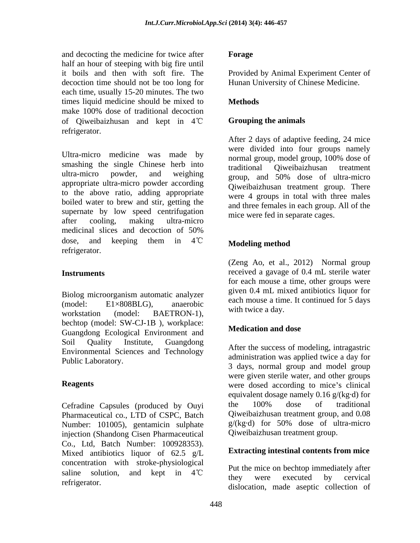and decocting the medicine for twice after **Forage** half an hour of steeping with big fire until<br>it boils and then with soft fire. The it boils and then with soft fire. The Provided by Animal Experiment Center of decoction time should not be too long for each time, usually 15-20 minutes. The two times liquid medicine should be mixed to **Methods** make 100% dose of traditional decoction of Qiweibaizhusan and kept in 4 refrigerator.

Ultra-micro medicine was made by smashing the single Chinese herb into traditional Qiweibaizhusan treatment ultra-micro powder, and weighing group, and 50% dose of ultra-micro appropriate ultra-micro powder according to the above ratio, adding appropriate boiled water to brew and stir, getting the supernate by low speed centrifugation after cooling, making ultra-micro medicinal slices and decoction of 50% dose, and keeping them in  $4^{\circ}\text{C}$  Modeling method refrigerator.

Biolog microorganism automatic analyzer workstation (model: BAETRON-1), while will use a day. bechtop (model: SW-CJ-1B), workplace:<br>
Show that is the probability of **Medication** and dose Guangdong Ecological Environment and Soil Quality Institute, Guangdong Environmental Sciences and Technology

Pharmaceutical co., LTD of CSPC, Batch<br>
Number: 101005) gentamic in sulphate  $g/(kg \cdot d)$  for 50% dose of ultra-micro Number: 101005), gentamicin sulphate injection (Shandong Cisen Pharmaceutical Co., Ltd, Batch Number: 100928353). Mixed antibiotics liquor of  $62.5 \text{ g/L}$ concentration with stroke-physiological saline solution, and kept in  $4^{\circ}\text{C}$  and they were executed by cervical

### **Forage**

Hunan University of Chinese Medicine.

## **Methods**

### **Grouping the animals**

After 2 days of adaptive feeding, 24 mice were divided into four groups namely normal group, model group, 100% dose of traditional Qiweibaizhusan treatment group, and 50% dose of ultra-micro Qiweibaizhusan treatment group. There were 4 groups in total with three males and three females in each group. All of the mice were fed in separate cages.

# **Modeling method**

**Instruments**  received a gavage of 0.4 mL sterile water (model:  $E1\times808BLG$ ), anaerobic  $E1\times808BLG$ ), anaerobic  $E1\times808BLG$ (Zeng Ao, et al., 2012) Normal group for each mouse a time, other groups were given 0.4 mL mixed antibiotics liquor for each mouse a time. It continued for 5 days with twice a day.

## **Medication and dose**

Public Laboratory.<br>
3 days, normal group and model group **Reagents Reagents were** dosed according to mice's clinical Cefradine Capsules (produced by Ouyi the 100% dose of traditional After the success of modeling, intragastric administration was applied twice a day for were given sterile water, and other groups equivalent dosage namely 0.16 g/(kg·d) for the 100% dose of traditional Qiweibaizhusan treatment group, and 0.08 g/(kg·d) for 50% dose of ultra-micro Qiweibaizhusan treatment group.

## **Extracting intestinal contents from mice**

refrigerator. dislocation, made aseptic collection ofPut the mice on bechtop immediately after they were executed by cervical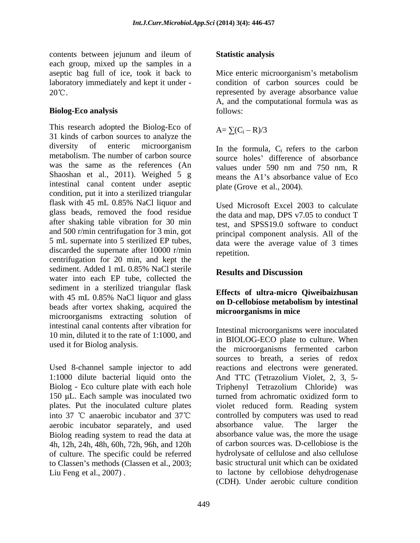contents between jejunum and ileum of each group, mixed up the samples in a aseptic bag full of ice, took it back to Mice enteric microorganism's metabolism laboratory immediately and kept it under - condition of carbon sources could be

**Biolog-Eco analysis** follows:<br>This research adopted the Biolog-Eco of  $A = \sum (C_i - R)/3$ 31 kinds of carbon sources to analyze the diversity of enteric microorganism In the formula C refers to the carbon metabolism. The number of carbon source was the same as the references (An values under 590 nm and 750 nm. R Shaoshan et al., 2011). Weighed 5 g intestinal canal content under aseptic condition, put it into a sterilized triangular flask with 45 mL 0.85% NaCl liquor and T<sub>Ised</sub> Microsoft Excel 2003 to calculate glass beads, removed the food residue after shaking table vibration for 30 min and 500 r/min centrifugation for 3 min, got 5 mL supernate into 5 sterilized EP tubes, discarded the supernate after 10000 r/min repetition. centrifugation for 20 min, and kept the sediment. Added 1 mL  $0.85\%$  NaCl sterile  $R_{\text{results}}$  and Discussion sediment. Added 1 mL 0.85% NaCl sterile<br>water into each EP tube, collected the<br>settle the sediment in a sterilized triangular flask with 45 mL 0.85% NaCl liquor and glass beads after vortex shaking, acquired the microorganisms extracting solution of intestinal canal contents after vibration for 10 min, diluted it to the rate of 1:1000, and

Used 8-channel sample injector to add 1:1000 dilute bacterial liquid onto the 150 µL. Each sample was inoculated two turned from achromatic oxidized form to aerobic incubator separately, and used absorbance value. The larger the Biolog reading system to read the data at 4h, 12h, 24h, 48h, 60h, 72h, 96h, and 120h of culture. The specific could be referred to Classen's methods (Classen et al., 2003;

### **Statistic analysis**

 $20^{\circ}$ C. Mice enteric microorganism's metabolism A, and the computational formula was as follows:

> $A = \sum (C_i - R)/3$  $R)/3$

In the formula,  $C_i$  refers to the carbon source holes' difference of absorbance values under 590 nm and 750 nm, R means the A1's absorbance value of Eco plate (Grove et al., 2004).

Used Microsoft Excel 2003 to calculate the data and map, DPS v7.05 to conduct T test, and SPSS19.0 software to conduct principal component analysis. All of the data were the average value of 3 times repetition.

# **Results and Discussion**

### **Effects of ultra-micro Qiweibaizhusan on D-cellobiose metabolism by intestinal microorganisms in mice**

used it for Biolog analysis.<br>the microorganisms fermented carbon Biolog - Eco culture plate with each hole Triphenyl Tetrazolium Chloride) was plates. Put the inoculated culture plates violet reduced form. Reading system into 37  $\degree$ C anaerobic incubator and 37 $\degree$ C controlled by computers was used to read Liu Feng et al., 2007) . to lactone by cellobiose dehydrogenase Intestinal microorganisms were inoculated in BIOLOG-ECO plate to culture. When sources to breath, a series of redox reactions and electrons were generated. And TTC (Tetrazolium Violet, 2, 3, 5 turned from achromatic oxidized form to absorbance value. The larger the absorbance value was, the more the usage of carbon sources was. D-cellobiose is the hydrolysate of cellulose and also cellulose basic structural unit which can be oxidated (CDH). Under aerobic culture condition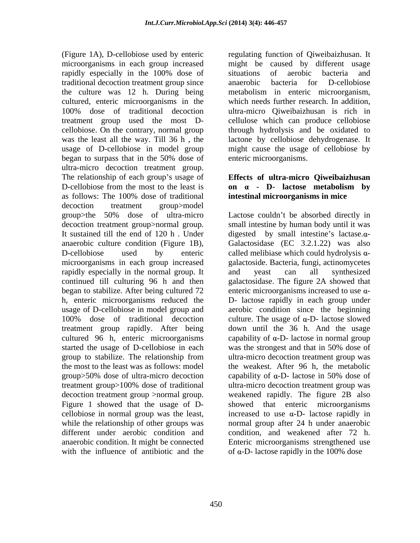(Figure 1A), D-cellobiose used by enteric regulating function of Qiweibaizhusan. It microorganisms in each group increased might be caused by different usage rapidly especially in the 100% dose of traditional decoction treatment group since the culture was 12 h. During being metabolism in enteric microorganism, cultured, enteric microorganisms in the which needs further research. In addition, 100% dose of traditional decoction ultra-micro Qiweibaizhusan is rich in treatment group used the most D- cellulose which can produce cellobiose cellobiose. On the contrary, normal group through hydrolysis and be oxidated to was the least all the way. Till 36 h , the lactone by cellobiose dehydrogenase. It usage of D-cellobiose in model group might cause the usage of cellobiose by began to surpass that in the 50% dose of ultra-micro decoction treatment group. The relationship of each group's usage of **Effects of ultra-micro Qiweibaizhusan** D-cellobiose from the most to the least is  $\theta$  on  $\alpha$  - D- lactose metabolism by as follows: The 100% dose of traditional **intestinal microorganisms in mice** decoction treatment group>model group>the 50% dose of ultra-micro Lactose couldn t be absorbed directly in decoction treatment group>normal group. small intestine by human body until it was It sustained till the end of 120 h. Under digested by small intestine's lactase. $\alpha$ anaerobic culture condition (Figure 1B), Galactosidase (EC 3.2.1.22) was also D-cellobiose used by enteric called melibiase which could hydrolysis  $\alpha$ microorganisms in each group increased rapidly especially in the normal group. It and yeast can all synthesized continued till culturing 96 h and then galactosidase. The figure 2A showed that began to stabilize. After being cultured  $72$  enteric microorganisms increased to use  $\alpha$ h, enteric microorganisms reduced the D- lactose rapidly in each group under usage of D-cellobiose in model group and aerobic condition since the beginning 100% dose of traditional decoction culture. The usage of  $\alpha$ -D- lactose slowed treatment group rapidly. After being down until the 36 h. And the usage cultured 96 h, enteric microorganisms capability of  $\alpha$ -D-lactose in normal group started the usage of D-cellobiose in each was the strongest and that in 50% dose of group to stabilize. The relationship from ultra-micro decoction treatment group was the most to the least was as follows: model the weakest. After 96 h, the metabolic group $>50\%$  dose of ultra-micro decoction capability of  $\alpha$ -D- lactose in 50% dose of treatment group>100% dose of traditional ultra-micro decoction treatment group was decoction treatment group >normal group. weakened rapidly. The figure 2B also Figure 1 showed that the usage of D- showed that enteric microorganisms cellobiose in normal group was the least, increased to use  $\alpha$ -D- lactose rapidly in while the relationship of other groups was normal group after 24 h under anaerobic different under aerobic condition and condition, and weakened after 72 h. anaerobic condition. It might be connected Enteric microorganisms strengthened use

situations of aerobic bacteria and anaerobic bacteria for D-cellobiose enteric microorganisms.

# **on - D- lactose metabolism by intestinal microorganisms in mice**

with the influence of antibiotic and the  $\sigma$  of  $\alpha$ -D-lactose rapidly in the 100% dose called melibiase which could hydrolysis  $\alpha$ -galactoside. Bacteria, fungi, actinomycetes and yeast can all synthesized was the strongest and that in 50% dose of ultra-micro decoction treatment group was capability of  $\alpha$ -D- lactose in 50% dose of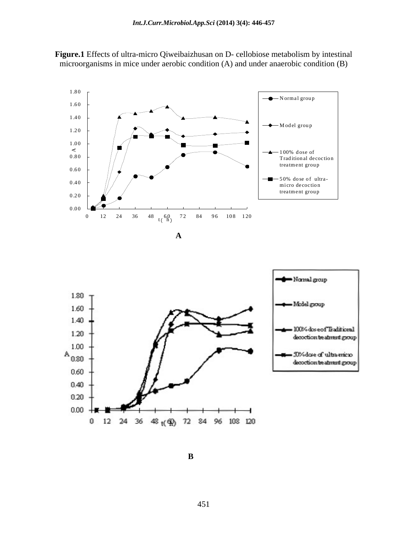

**Figure.1** Effects of ultra-micro Qiweibaizhusan on D- cellobiose metabolism by intestinal microorganisms in mice under aerobic condition (A) and under anaerobic condition (B)

 **A**



**B**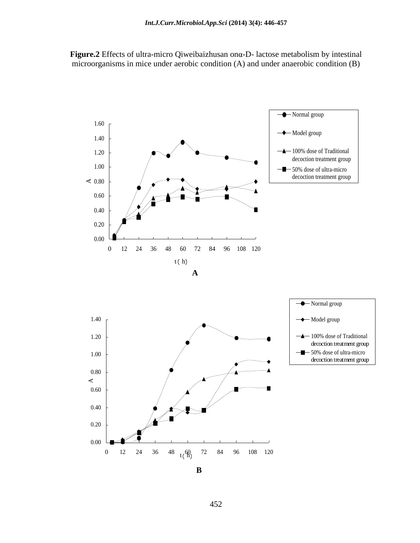Figure.2 Effects of ultra-micro Qiweibaizhusan on a-D- lactose metabolism by intestinal microorganisms in mice under aerobic condition (A) and under anaerobic condition (B)





**B**

452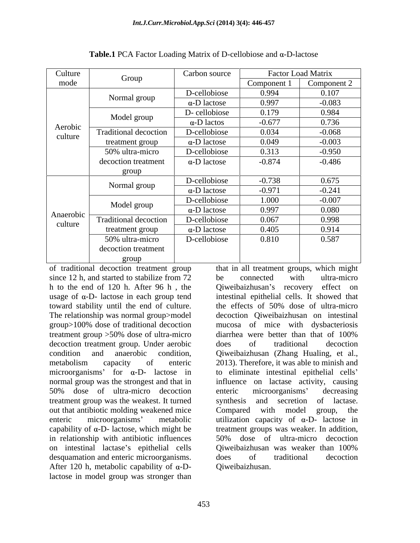| Culture              |                              | Carbon source       | Factor Load Matrix |             |
|----------------------|------------------------------|---------------------|--------------------|-------------|
| mode                 | Group                        |                     | Component 1        | Component 2 |
| Aerobic<br>culture   | Normal group                 | D-cellobiose        | 0.994              | 0.107       |
|                      |                              | $\alpha$ -D lactose | 0.997              | $-0.083$    |
|                      | Model group                  | D-cellobiose        | 0.179              | 0.984       |
|                      |                              | $\alpha$ -D lactos  | $-0.677$           | 0.736       |
|                      | Traditional decoction        | D-cellobiose        | 0.034              | $-0.068$    |
|                      | treatment group              | $\alpha$ -D lactose | 0.049              | $-0.003$    |
|                      | 50% ultra-micro              | D-cellobiose        | 0.313              | $-0.950$    |
|                      | decoction treatment          | $\alpha$ -D lactose | $-0.874$           | $-0.486$    |
|                      | group                        |                     |                    |             |
| Anaerobic<br>culture | Normal group                 | D-cellobiose        | $-0.738$           | 0.675       |
|                      |                              | $\alpha$ -D lactose | $-0.971$           | $-0.241$    |
|                      | Model group                  | D-cellobiose        | 1.000              | $-0.007$    |
|                      |                              | $\alpha$ -D lactose | 0.997              | 0.080       |
|                      | <b>Traditional decoction</b> | D-cellobiose        | 0.067              | 0.998       |
|                      | treatment group              | $\alpha$ -D lactose | 0.405              | 0.914       |
|                      | 50% ultra-micro              | D-cellobiose        | 0.810              | 0.587       |
|                      | decoction treatment          |                     |                    |             |
|                      | group                        |                     |                    |             |

**Table.1** PCA Factor Loading Matrix of D-cellobiose and  $\alpha$ -D-lactose

of traditional decoction treatment group that in all treatment groups, which might since 12 h, and started to stabilize from 72 be connected with ultra-micro h to the end of 120 h. After 96 h, the Qiweibaizhusan's recovery effect on usage of  $\alpha$ -D- lactose in each group tend toward stability until the end of culture. The effects of 50% dose of ultra-micro The relationship was normal group>model decoction Qiweibaizhusan on intestinal group>100% dose of traditional decoction mucosa of mice with dysbacteriosis treatment group >50% dose of ultra-micro decoction treatment group. Under aerobic does of traditional decoction condition and anaerobic condition, Qiweibaizhusan (Zhang Hualing, et al., metabolism capacity of enteric 2013). Therefore, it was able to minish and  $microorganisms'$  for  $\alpha$ -D- lactose in to eliminate intestinal epithelial cells' normal group was the strongest and that in influence on lactase activity, causing 50% dose of ultra-micro decoction treatment group was the weakest. It turned out that antibiotic molding weakened mice compared with model group, the enteric microorganisms' metabolic utilization capacity of  $\alpha$ -D- lactose in capability of  $\alpha$ -D- lactose, which might be in relationship with antibiotic influences 50% dose of ultra-micro decoction on intestinal lactase's epithelial cells Qiweibaizhusan was weaker than 100% desquamation and enteric microorganisms. does of traditional decoction After 120 h, metabolic capability of  $\alpha$ -Dlactose in model group was stronger than

enteric microorganisms' decreasing synthesis and secretion of lactase. Compared with model group, the treatment groups was weaker. In addition, 50% dose of ultra-micro decoction Qiweibaizhusan was weaker than 100% does of traditional decoction Qiweibaizhusan.

intestinal epithelial cells. It showed that

be connected with ultra-micro

does of traditional decoction

the effects of 50% dose of ultra-micro

diarrhea were better than that of 100%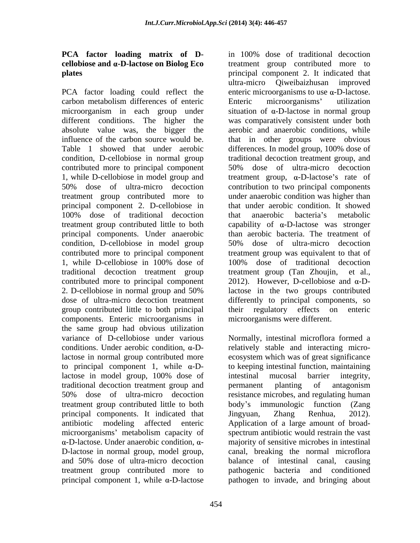# **PCA factor loading matrix of D cellobiose and -D-lactose on Biolog Eco**

PCA factor loading could reflect the absolute value was, the bigger the Table 1 showed that under aerobic differences. In model group, 100% dose of contributed more to principal component 50% dose of ultra-micro decoction principal components. Under anaerobic condition, D-cellobiose in model group 50% dose of ultra-micro decoction traditional decoction treatment group treatment group (Tan Zhoujin, et al., group contributed little to both principal their regulatory effects on enteric components. Enteric microorganisms in the same group had obvious utilization variance of D-cellobiose under various Normally, intestinal microflora formed a conditions. Under aerobic condition,  $\alpha$ -D- relatively stable and interacting microlactose in normal group contributed more ecosystem which was of great significance to principal component 1, while  $\alpha$ -Dlactose in model group, 100% dose of intestinal mucosal barrier integrity, traditional decoction treatment group and 50% dose of ultra-micro decoction resistance microbes, and regulating human treatment group contributed little to both body's immunologic function (Zang principal components. It indicated that Jingyuan, Zhang Renhua, 2012). antibiotic modeling affected enteric Application of a large amount of broad microorganisms' metabolism capacity of D-lactose in normal group, model group, and 50% dose of ultra-micro decoction treatment group contributed more to pathogenic bacteria and conditioned

**plates** principal component 2. It indicated that carbon metabolism differences of enteric microorganism in each group under situation of  $\alpha$ -D-lactose in normal group different conditions. The higher the was comparatively consistent under both influence of the carbon source would be. that in other groups were obvious condition, D-cellobiose in normal group traditional decoction treatment group, and 1, while D-cellobiose in model group and treatment group,  $\alpha$ -D-lactose's rate of 50% dose of ultra-micro decoction contribution to two principal components treatment group contributed more to under anaerobic condition was higher than principal component 2. D-cellobiose in that under aerobic condition. It showed 100% dose of traditional decoction treatment group contributed little to both capability of  $\alpha$ -D-lactose was stronger contributed more to principal component treatment group was equivalent to that of 1, while D-cellobiose in 100% dose of contributed more to principal component  $2012$ ). However, D-cellobiose and  $\alpha$ -D-2. D-cellobiose in normal group and 50% dose of ultra-micro decoction treatment differently to principal components, so in 100% dose of traditional decoction treatment group contributed more to ultra-micro Qiweibaizhusan improved enteric microorganisms to use  $\alpha$ -D-lactose. Enteric microorganisms' utilization aerobic and anaerobic conditions, while differences. In model group, 100% dose of 50% dose of ultra-micro decoction that anaerobic bacteria's metabolic than aerobic bacteria. The treatment of 50% dose of ultra-micro decoction 100% dose of traditional decoction treatment group (Tan Zhoujin, lactose in the two groups contributed their regulatory effects on enteric microorganisms were different.

 $-D$ -lactose. Under anaerobic condition,  $\alpha$ - majority of sensitive microbes in intestinal principal component 1, while  $\alpha$ -D-lactose  $\qquad$  pathogen to invade, and bringing about to keeping intestinal function, maintaining intestinal mucosal barrier integrity, permanent planting of antagonism Jingyuan, Zhang Renhua, 2012). spectrum antibiotic would restrain the vast canal, breaking the normal microflora balance of intestinal canal, causing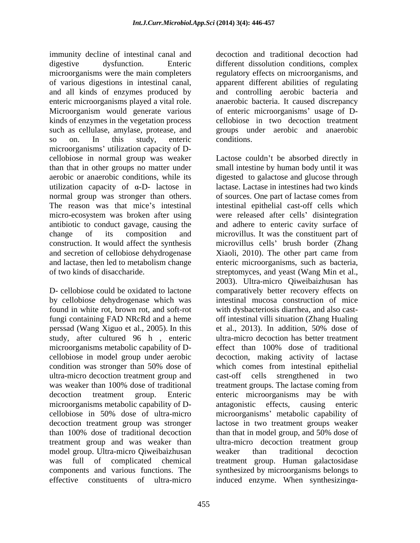immunity decline of intestinal canal and decoction and traditional decoction had digestive dysfunction. Enteric different dissolution conditions, complex microorganisms were the main completers regulatory effects on microorganisms, and of various digestions in intestinal canal, apparent different abilities of regulating and all kinds of enzymes produced by and controlling aerobic bacteria and enteric microorganisms played a vital role. anaerobic bacteria. It caused discrepancy Microorganism would generate various of enteric microorganisms' usage of Dkinds of enzymes in the vegetation process such as cellulase, amylase, protease, and groups under aerobic and anaerobic so on. In this study, enteric microorganisms' utilization capacity of Dutilization capacity of  $\alpha$ -D- lactose in and secretion of cellobiose dehydrogenase <br>Xiaoli, 2010). The other part came from

by cellobiose dehydrogenase which was found in white rot, brown rot, and soft-rot fungi containing FAD NRcRd and a heme perssad (Wang Xiguo et al., 2005). In this study, after cultured 96 h , enteric microorganisms metabolic capability of D- effect than 100% dose of traditional than 100% dose of traditional decoction than that in model group, and 50% dose of treatment group and was weaker than model group. Ultra-micro Qiweibaizhusan weaker than traditional decoction effective constituents of ultra-micro induced enzyme. When synthesizing a-

cellobiose in two decoction treatment conditions.

cellobiose in normal group was weaker Lactose couldn t be absorbed directly in than that in other groups no matter under small intestine by human body until it was aerobic or anaerobic conditions, while its digested to galactose and glucose through normal group was stronger than others. of sources. One part of lactase comes from The reason was that mice's intestinal intestinal epithelial cast-off cells which micro-ecosystem was broken after using were released after cells' disintegration antibiotic to conduct gavage, causing the and adhere to enteric cavity surface of change of its composition and microvillus. It was the constituent part of construction. It would affect the synthesis microvillus cells' brush border (Zhang and lactase, then led to metabolism change enteric microorganisms, such as bacteria, of two kinds of disaccharide. streptomyces, and yeast (Wang Min et al., D- cellobiose could be oxidated to lactone comparatively better recovery effects on cellobiose in model group under aerobic decoction, making activity of lactase condition was stronger than 50% dose of ultra-micro decoction treatment group and cast-off cells strengthened in two was weaker than 100% dose of traditional treatment groups. The lactase coming from decoction treatment group. Enteric enteric microorganisms may be with microorganisms metabolic capability of D- antagonistic effects, causing enteric cellobiose in 50% dose of ultra-micro microorganisms' metabolic capability of decoction treatment group was stronger lactose in two treatment groups weaker was full of complicated chemical treatment group. Human galactosidase components and various functions. The synthesized by microorganisms belongs to lactase. Lactase in intestines had two kinds Xiaoli, 2010). The other part came from 2003). Ultra-micro Qiweibaizhusan has intestinal mucosa construction of mice with dysbacteriosis diarrhea, and also cast-off intestinal villi situation (Zhang Hualing et al., 2013). In addition, 50% dose of ultra-micro decoction has better treatment effect than 100% dose of traditional which comes from intestinal epithelial than that in model group, and 50% dose of ultra-micro decoction treatment group weaker than traditional decoction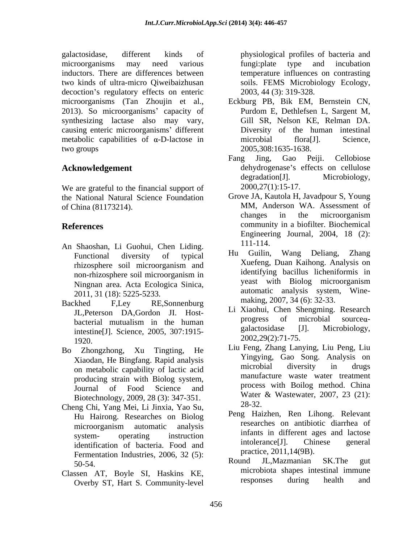galactosidase, different kinds of physiological profiles of bacteria and microorganisms may need various inductors. There are differences between temperature influences on contrasting two kinds of ultra-micro Qiweibaizhusan decoction's regulatory effects on enteric 2013). So microorganisms' capacity of Purdom E, Dethlefsen L, Sargent M, synthesizing lactase also may vary, causing enteric microorganisms' different metabolic capabilities of  $\alpha$ -D-lactose in microbial flora [J]. Science, two groups  $2005,308:1635-1638$ .

We are grateful to the financial support of the National Natural Science Foundation

- An Shaoshan, Li Guohui, Chen Liding.<br>
Eunctional diversity of typical Hu Guilin, Wang Deliang, Zhang 2011, 31 (18): 5225-5233.
- Backhed F,Ley RE, Sonnenburg making,  $2007$ ,  $34(0)$ :  $32-33$ .  $2002,29(2)$ :  $11-75$ .
- on metabolic capability of lactic acid producing strain with Biolog system, Biotechnology, 2009, 28 (3): 347-351. Water<br>
The Chi Vene Mai Li Linuis Vee Sure 28-32.
- Cheng Chi, Yang Mei, Li Jinxia, Yao Su, Hu Hairong. Researches on Biolog Fermentation Industries, 2006, 32 (5):<br>Folso and IL Mazmanian SK. The gut
- Classen AT, Boyle SI, Haskins KE, microbiota shapes intestinal immune<br>Classen AT, Boyle SI, Haskins KE, microbiota shapes intestinal immune Overby ST, Hart S. Community-level

fungi:plate type and incubation soils. FEMS Microbiology Ecology, 2003, 44 (3): 319-328.

- microorganisms (Tan Zhoujin et al., Eckburg PB, Bik EM, Bernstein CN, Purdom E, Dethlefsen L, Sargent M, Gill SR, Nelson KE, Relman DA. Diversity of the human intestinal microbial flora[J]. Science, 2005,308:1635-1638.
- Acknowledgement dehydrogenase's effects on cellulose Fang Jing, Gao Peiji. Cellobiose degradation[J]. Microbiology, 2000,27(1):15-17.
- of China (81173214). MM, Anderson WA. Assessment of **References** community in a biofilter. Biochemical Grove JA, Kautola H, Javadpour S, Young changes in the microorganism Engineering Journal, 2004, 18 (2): 111-114.
	- Functional diversity of typical have been wang Denang, Znang rhizosphere soil microorganism and **Authors** Authority Duan Kainong. Analysis on non-rhizosphere soil microorganism in a luminum pacific meaninormis in Ningnan area. Acta Ecologica Sinica, Hu Guilin, Wang Deliang, Zhang Xuefeng, Duan Kaihong. Analysis on identifying bacillus licheniformis in yeast with Biolog microorganism automatic analysis system, Wine making, 2007, 34 (6): 32-33.
	- JL, Peterson DA, Gordon JI. Host-<br>bacterial mutualism in the human progress of microbial sourceabacterial mutualism in the human progress of incroonal source of intestine<sup>[J]</sup>. Science, 2005, 307:1915- galactosidase [J]. Microbiology, Li Xiaohui, Chen Shengming. Research  $progress$  of microbial source $\alpha$ galactosidase [J]. Microbiology, 2002,29(2):71-75.
- Bo Zhongzhong, Xu Tingting, He Xiaodan, He Bingfang. Rapid analysis<br>
an matchelia aspektity of legislation and microbial diversity in drugs Journal of Food Science and process with Bollog method. China Liu Feng, Zhang Lanying, Liu Peng, Liu Yingying, Gao Song. Analysis on microbial diversity in drugs manufacture waste water treatment process with Boilog method. China Water & Wastewater, 2007, 23 (21): 28-32.
	- microorganism automatic analysis researches on anupolic diarrhea of system- operating instruction in interest in different ages and factose identification of bacteria. Food and intolerance[J]. Chinese general Peng Haizhen, Ren Lihong. Relevant researches on antibiotic diarrhea of infants in different ages and lactose intolerance[J]. Chinese general practice, 2011,14(9B).
	- 50-54. Round JL, Wazmanian SK. The gut Round JL,Mazmanian SK.The gut microbiota shapes intestinal immune responses during health and